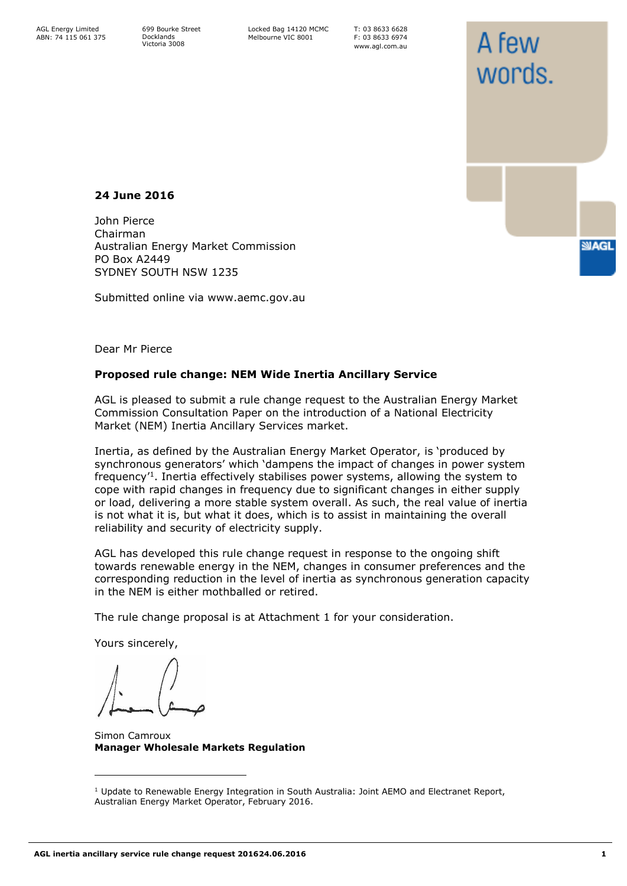699 Bourke Street Docklands Victoria 3008

Locked Bag 14120 MCMC Melbourne VIC 8001

T: 03 8633 6628 F: 03 8633 6974 www.agl.com.au

A few

words

**SMAGL** 

## **24 June 2016**

John Pierce Chairman Australian Energy Market Commission PO Box A2449 SYDNEY SOUTH NSW 1235

Submitted online via www.aemc.gov.au

Dear Mr Pierce

#### **Proposed rule change: NEM Wide Inertia Ancillary Service**

AGL is pleased to submit a rule change request to the Australian Energy Market Commission Consultation Paper on the introduction of a National Electricity Market (NEM) Inertia Ancillary Services market.

Inertia, as defined by the Australian Energy Market Operator, is 'produced by synchronous generators' which 'dampens the impact of changes in power system frequency'<sup>1</sup> . Inertia effectively stabilises power systems, allowing the system to cope with rapid changes in frequency due to significant changes in either supply or load, delivering a more stable system overall. As such, the real value of inertia is not what it is, but what it does, which is to assist in maintaining the overall reliability and security of electricity supply.

AGL has developed this rule change request in response to the ongoing shift towards renewable energy in the NEM, changes in consumer preferences and the corresponding reduction in the level of inertia as synchronous generation capacity in the NEM is either mothballed or retired.

The rule change proposal is at Attachment 1 for your consideration.

Yours sincerely,

Simon Camroux **Manager Wholesale Markets Regulation** 

 $1$  Update to Renewable Energy Integration in South Australia: Joint AEMO and Electranet Report, Australian Energy Market Operator, February 2016.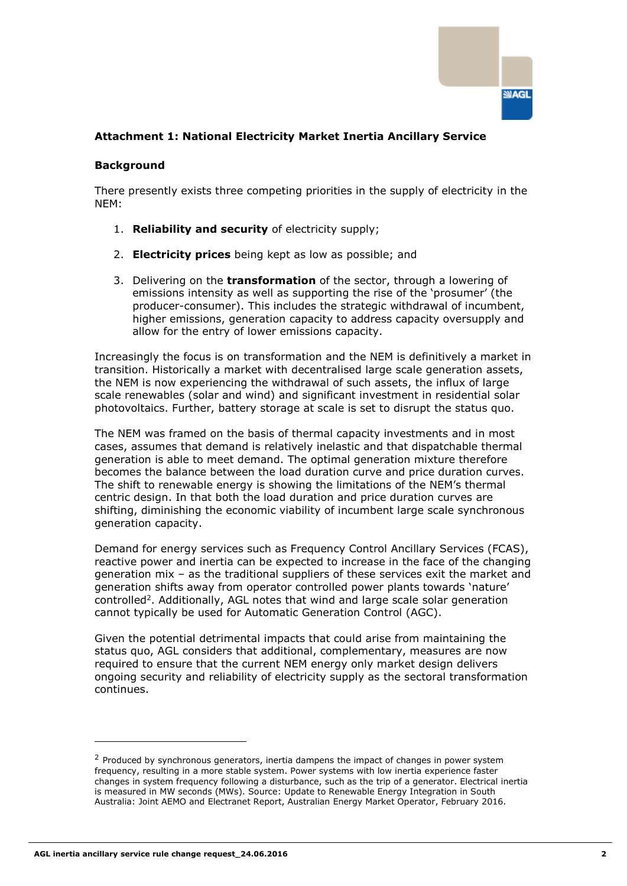

# **Attachment 1: National Electricity Market Inertia Ancillary Service**

### **Background**

There presently exists three competing priorities in the supply of electricity in the NEM:

- 1. **Reliability and security** of electricity supply;
- 2. **Electricity prices** being kept as low as possible; and
- 3. Delivering on the **transformation** of the sector, through a lowering of emissions intensity as well as supporting the rise of the 'prosumer' (the producer-consumer). This includes the strategic withdrawal of incumbent, higher emissions, generation capacity to address capacity oversupply and allow for the entry of lower emissions capacity.

Increasingly the focus is on transformation and the NEM is definitively a market in transition. Historically a market with decentralised large scale generation assets, the NEM is now experiencing the withdrawal of such assets, the influx of large scale renewables (solar and wind) and significant investment in residential solar photovoltaics. Further, battery storage at scale is set to disrupt the status quo.

The NEM was framed on the basis of thermal capacity investments and in most cases, assumes that demand is relatively inelastic and that dispatchable thermal generation is able to meet demand. The optimal generation mixture therefore becomes the balance between the load duration curve and price duration curves. The shift to renewable energy is showing the limitations of the NEM's thermal centric design. In that both the load duration and price duration curves are shifting, diminishing the economic viability of incumbent large scale synchronous generation capacity.

Demand for energy services such as Frequency Control Ancillary Services (FCAS), reactive power and inertia can be expected to increase in the face of the changing generation mix – as the traditional suppliers of these services exit the market and generation shifts away from operator controlled power plants towards 'nature' controlled<sup>2</sup> . Additionally, AGL notes that wind and large scale solar generation cannot typically be used for Automatic Generation Control (AGC).

Given the potential detrimental impacts that could arise from maintaining the status quo, AGL considers that additional, complementary, measures are now required to ensure that the current NEM energy only market design delivers ongoing security and reliability of electricity supply as the sectoral transformation continues.

<sup>&</sup>lt;sup>2</sup> Produced by synchronous generators, inertia dampens the impact of changes in power system frequency, resulting in a more stable system. Power systems with low inertia experience faster changes in system frequency following a disturbance, such as the trip of a generator. Electrical inertia is measured in MW seconds (MWs). Source: Update to Renewable Energy Integration in South Australia: Joint AEMO and Electranet Report, Australian Energy Market Operator, February 2016.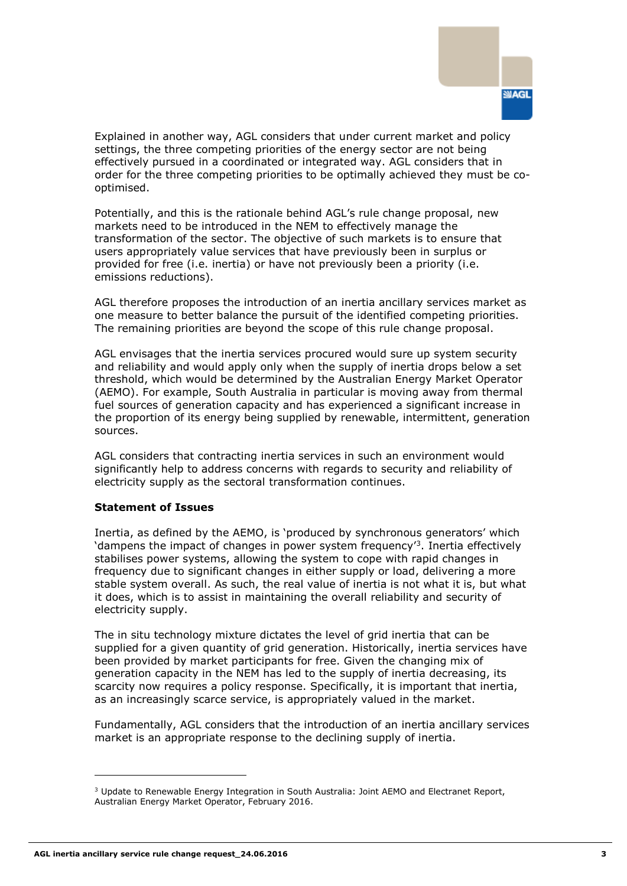

Explained in another way, AGL considers that under current market and policy settings, the three competing priorities of the energy sector are not being effectively pursued in a coordinated or integrated way. AGL considers that in order for the three competing priorities to be optimally achieved they must be cooptimised.

Potentially, and this is the rationale behind AGL's rule change proposal, new markets need to be introduced in the NEM to effectively manage the transformation of the sector. The objective of such markets is to ensure that users appropriately value services that have previously been in surplus or provided for free (i.e. inertia) or have not previously been a priority (i.e. emissions reductions).

AGL therefore proposes the introduction of an inertia ancillary services market as one measure to better balance the pursuit of the identified competing priorities. The remaining priorities are beyond the scope of this rule change proposal.

AGL envisages that the inertia services procured would sure up system security and reliability and would apply only when the supply of inertia drops below a set threshold, which would be determined by the Australian Energy Market Operator (AEMO). For example, South Australia in particular is moving away from thermal fuel sources of generation capacity and has experienced a significant increase in the proportion of its energy being supplied by renewable, intermittent, generation sources.

AGL considers that contracting inertia services in such an environment would significantly help to address concerns with regards to security and reliability of electricity supply as the sectoral transformation continues.

### **Statement of Issues**

Inertia, as defined by the AEMO, is 'produced by synchronous generators' which 'dampens the impact of changes in power system frequency'<sup>3</sup> . Inertia effectively stabilises power systems, allowing the system to cope with rapid changes in frequency due to significant changes in either supply or load, delivering a more stable system overall. As such, the real value of inertia is not what it is, but what it does, which is to assist in maintaining the overall reliability and security of electricity supply.

The in situ technology mixture dictates the level of grid inertia that can be supplied for a given quantity of grid generation. Historically, inertia services have been provided by market participants for free. Given the changing mix of generation capacity in the NEM has led to the supply of inertia decreasing, its scarcity now requires a policy response. Specifically, it is important that inertia, as an increasingly scarce service, is appropriately valued in the market.

Fundamentally, AGL considers that the introduction of an inertia ancillary services market is an appropriate response to the declining supply of inertia.

<sup>&</sup>lt;sup>3</sup> Update to Renewable Energy Integration in South Australia: Joint AEMO and Electranet Report, Australian Energy Market Operator, February 2016.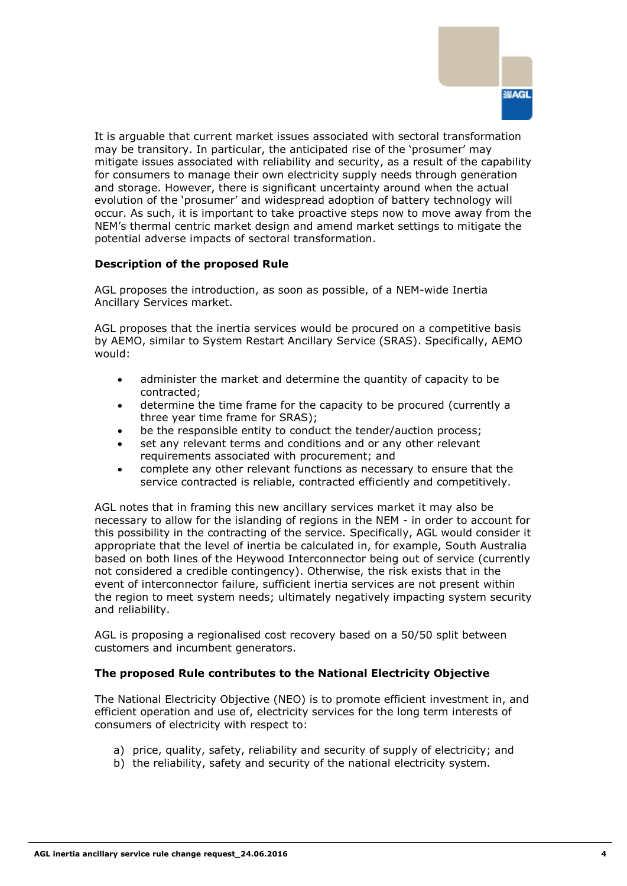

It is arguable that current market issues associated with sectoral transformation may be transitory. In particular, the anticipated rise of the 'prosumer' may mitigate issues associated with reliability and security, as a result of the capability for consumers to manage their own electricity supply needs through generation and storage. However, there is significant uncertainty around when the actual evolution of the 'prosumer' and widespread adoption of battery technology will occur. As such, it is important to take proactive steps now to move away from the NEM's thermal centric market design and amend market settings to mitigate the potential adverse impacts of sectoral transformation.

### **Description of the proposed Rule**

AGL proposes the introduction, as soon as possible, of a NEM-wide Inertia Ancillary Services market.

AGL proposes that the inertia services would be procured on a competitive basis by AEMO, similar to System Restart Ancillary Service (SRAS). Specifically, AEMO would:

- administer the market and determine the quantity of capacity to be contracted;
- determine the time frame for the capacity to be procured (currently a three year time frame for SRAS);
- be the responsible entity to conduct the tender/auction process;
- set any relevant terms and conditions and or any other relevant requirements associated with procurement; and
- complete any other relevant functions as necessary to ensure that the service contracted is reliable, contracted efficiently and competitively.

AGL notes that in framing this new ancillary services market it may also be necessary to allow for the islanding of regions in the NEM - in order to account for this possibility in the contracting of the service. Specifically, AGL would consider it appropriate that the level of inertia be calculated in, for example, South Australia based on both lines of the Heywood Interconnector being out of service (currently not considered a credible contingency). Otherwise, the risk exists that in the event of interconnector failure, sufficient inertia services are not present within the region to meet system needs; ultimately negatively impacting system security and reliability.

AGL is proposing a regionalised cost recovery based on a 50/50 split between customers and incumbent generators.

### **The proposed Rule contributes to the National Electricity Objective**

The National Electricity Objective (NEO) is to promote efficient investment in, and efficient operation and use of, electricity services for the long term interests of consumers of electricity with respect to:

- a) price, quality, safety, reliability and security of supply of electricity; and
- b) the reliability, safety and security of the national electricity system.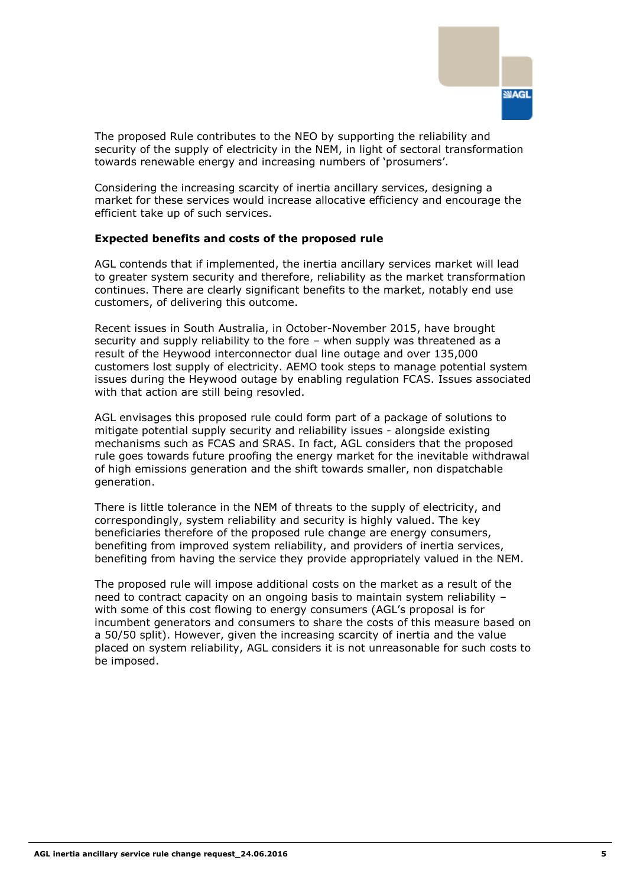

The proposed Rule contributes to the NEO by supporting the reliability and security of the supply of electricity in the NEM, in light of sectoral transformation towards renewable energy and increasing numbers of 'prosumers'.

Considering the increasing scarcity of inertia ancillary services, designing a market for these services would increase allocative efficiency and encourage the efficient take up of such services.

#### **Expected benefits and costs of the proposed rule**

AGL contends that if implemented, the inertia ancillary services market will lead to greater system security and therefore, reliability as the market transformation continues. There are clearly significant benefits to the market, notably end use customers, of delivering this outcome.

Recent issues in South Australia, in October-November 2015, have brought security and supply reliability to the fore – when supply was threatened as a result of the Heywood interconnector dual line outage and over 135,000 customers lost supply of electricity. AEMO took steps to manage potential system issues during the Heywood outage by enabling regulation FCAS. Issues associated with that action are still being resovled.

AGL envisages this proposed rule could form part of a package of solutions to mitigate potential supply security and reliability issues - alongside existing mechanisms such as FCAS and SRAS. In fact, AGL considers that the proposed rule goes towards future proofing the energy market for the inevitable withdrawal of high emissions generation and the shift towards smaller, non dispatchable generation.

There is little tolerance in the NEM of threats to the supply of electricity, and correspondingly, system reliability and security is highly valued. The key beneficiaries therefore of the proposed rule change are energy consumers, benefiting from improved system reliability, and providers of inertia services, benefiting from having the service they provide appropriately valued in the NEM.

The proposed rule will impose additional costs on the market as a result of the need to contract capacity on an ongoing basis to maintain system reliability – with some of this cost flowing to energy consumers (AGL's proposal is for incumbent generators and consumers to share the costs of this measure based on a 50/50 split). However, given the increasing scarcity of inertia and the value placed on system reliability, AGL considers it is not unreasonable for such costs to be imposed.